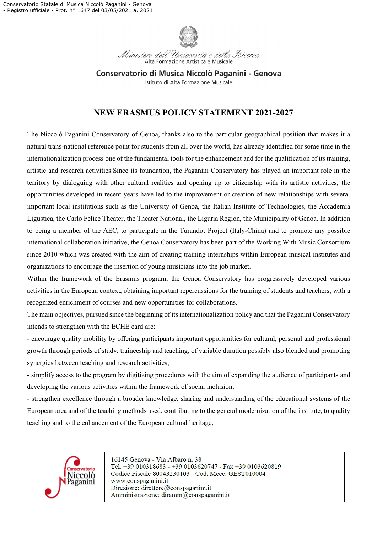

Ministero dell'Università e della Ricerca Alta Formazione Artistica e Musicale

Conservatorio di Musica Niccolò Paganini - Genova Istituto di Alta Formazione Musicale

## **NEW ERASMUS POLICY STATEMENT 2021-2027**

The Niccolò Paganini Conservatory of Genoa, thanks also to the particular geographical position that makes it a natural trans-national reference point for students from all over the world, has already identified for some time in the internationalization process one of the fundamental tools for the enhancement and for the qualification of its training, artistic and research activities.Since its foundation, the Paganini Conservatory has played an important role in the territory by dialoguing with other cultural realities and opening up to citizenship with its artistic activities; the opportunities developed in recent years have led to the improvement or creation of new relationships with several important local institutions such as the University of Genoa, the Italian Institute of Technologies, the Accademia Ligustica, the Carlo Felice Theater, the Theater National, the Liguria Region, the Municipality of Genoa. In addition to being a member of the AEC, to participate in the Turandot Project (Italy-China) and to promote any possible international collaboration initiative, the Genoa Conservatory has been part of the Working With Music Consortium since 2010 which was created with the aim of creating training internships within European musical institutes and organizations to encourage the insertion of young musicians into the job market.

Within the framework of the Erasmus program, the Genoa Conservatory has progressively developed various activities in the European context, obtaining important repercussions for the training of students and teachers, with a recognized enrichment of courses and new opportunities for collaborations.

The main objectives, pursued since the beginning of its internationalization policy and that the Paganini Conservatory intends to strengthen with the ECHE card are:

- encourage quality mobility by offering participants important opportunities for cultural, personal and professional growth through periods of study, traineeship and teaching, of variable duration possibly also blended and promoting synergies between teaching and research activities;

- simplify access to the program by digitizing procedures with the aim of expanding the audience of participants and developing the various activities within the framework of social inclusion;

- strengthen excellence through a broader knowledge, sharing and understanding of the educational systems of the European area and of the teaching methods used, contributing to the general modernization of the institute, to quality teaching and to the enhancement of the European cultural heritage;



16145 Genova - Via Albaro n. 38 Tel. +39 010318683 - +39 0103620747 - Fax +39 0103620819 Codice Fiscale 80043230103 - Cod. Mecc. GEST010004 www.conspaganini.it Direzione: direttore@conspaganini.it Amministrazione: diramm@conspaganini.it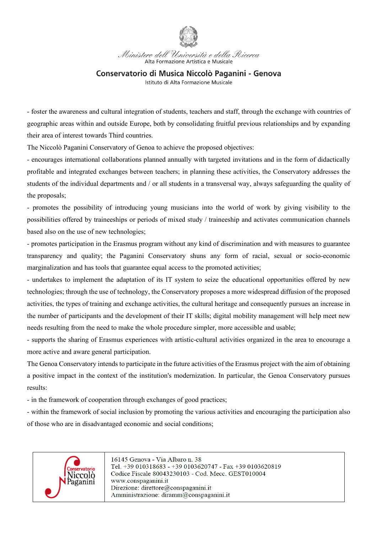

Ministero dell'Università e della Ricerca Alta Formazione Artistica e Musicale

## Conservatorio di Musica Niccolò Paganini - Genova

Istituto di Alta Formazione Musicale

- foster the awareness and cultural integration of students, teachers and staff, through the exchange with countries of geographic areas within and outside Europe, both by consolidating fruitful previous relationships and by expanding their area of interest towards Third countries.

The Niccolò Paganini Conservatory of Genoa to achieve the proposed objectives:

- encourages international collaborations planned annually with targeted invitations and in the form of didactically profitable and integrated exchanges between teachers; in planning these activities, the Conservatory addresses the students of the individual departments and / or all students in a transversal way, always safeguarding the quality of the proposals;

- promotes the possibility of introducing young musicians into the world of work by giving visibility to the possibilities offered by traineeships or periods of mixed study / traineeship and activates communication channels based also on the use of new technologies;

- promotes participation in the Erasmus program without any kind of discrimination and with measures to guarantee transparency and quality; the Paganini Conservatory shuns any form of racial, sexual or socio-economic marginalization and has tools that guarantee equal access to the promoted activities;

- undertakes to implement the adaptation of its IT system to seize the educational opportunities offered by new technologies; through the use of technology, the Conservatory proposes a more widespread diffusion of the proposed activities, the types of training and exchange activities, the cultural heritage and consequently pursues an increase in the number of participants and the development of their IT skills; digital mobility management will help meet new needs resulting from the need to make the whole procedure simpler, more accessible and usable;

- supports the sharing of Erasmus experiences with artistic-cultural activities organized in the area to encourage a more active and aware general participation.

The Genoa Conservatory intends to participate in the future activities of the Erasmus project with the aim of obtaining a positive impact in the context of the institution's modernization. In particular, the Genoa Conservatory pursues results:

- in the framework of cooperation through exchanges of good practices;

- within the framework of social inclusion by promoting the various activities and encouraging the participation also of those who are in disadvantaged economic and social conditions;



16145 Genova - Via Albaro n. 38 Tel. +39 010318683 - +39 0103620747 - Fax +39 0103620819 Codice Fiscale 80043230103 - Cod. Mecc. GEST010004 www.conspaganini.it Direzione: direttore@conspaganini.it Amministrazione: diramm@conspaganini.it